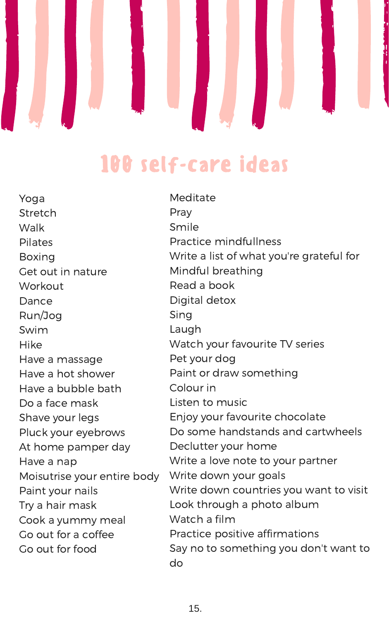

## 100 self-care ideas

Yoga Stretch Walk Pilates Boxing Get out in nature Workout Dance Run/Jog Swim Hike Have a massage Have a hot shower Have a bubble bath Do a face mask Shave your legs Pluck your eyebrows At home pamper day Have a nap Moisutrise your entire body Paint your nails Try a hair mask Cook a yummy meal Go out for a coffee Go out for food

Meditate Pray Smile Practice mindfullness Write a list of what you're grateful for Mindful breathing Read a book Digital detox Sing Laugh Watch your favourite TV series Pet your dog Paint or draw something Colour in Listen to music Enjoy your favourite chocolate Do some handstands and cartwheels Declutter your home Write a love note to your partner Write down your goals Write down countries you want to visit Look through a photo album Watch a film Practice positive affirmations Say no to something you don't want to do